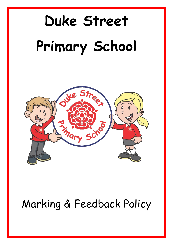# **Duke Street Primary School**



# Marking & Feedback Policy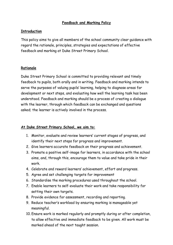#### **Feedback and Marking Policy**

#### **Introduction**

This policy aims to give all members of the school community clear guidance with regard the rationale, principles, strategies and expectations of effective feedback and marking at Duke Street Primary School.

#### **Rationale**

Duke Street Primary School is committed to providing relevant and timely feedback to pupils, both orally and in writing. Feedback and marking intends to serve the purposes of valuing pupils' learning, helping to diagnose areas for development or next steps, and evaluating how well the learning task has been understood. Feedback and marking should be a process of creating a dialogue with the learner, through which feedback can be exchanged and questions asked; the learner is actively involved in the process.

#### **At Duke Street Primary School, we aim to:**

- 1. Monitor, evaluate and review learners' current stages of progress, and identify their next steps for progress and improvement.
- 2. Give learners accurate feedback on their progress and achievement.
- 3. Promote a positive self-image for learners, in accordance with the school aims, and, through this, encourage them to value and take pride in their work.
- 4. Celebrate and reward learners' achievement, effort and progress.
- 5. Agree and set challenging targets for improvement
- 6. Standardise the marking procedures used throughout the school.
- 7. Enable learners to self-evaluate their work and take responsibility for setting their own targets.
- 8. Provide evidence for assessment, recording and reporting.
- 9. Reduce teacher's workload by ensuring marking is manageable yet meaningful.
- 10. Ensure work is marked regularly and promptly during or after completion, to allow effective and immediate feedback to be given. All work must be marked ahead of the next taught session.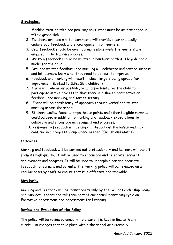#### **Strategies:**

- 1. Marking must be with red pen. Any next steps must be acknowledged in with a green tick.
- 2. Teacher's oral and written comments will provide clear and easily understood feedback and encouragement for learners.
- 3. Oral feedback should be given during lessons while the learners are engaged in the learning process.
- 4. Written feedback should be written in handwriting that is legible and a model for the child.
- 5. Oral and written feedback and marking will celebrate and reward success and let learners know what they need to do next to improve.
- 6. Feedback and marking will result in clear targets being agreed for improvement (Linked to ILPs, SEN children)
- 7. There will, whenever possible, be an opportunity for the child to participate in this process so that there is a shared perspective on feedback and marking, and target setting.
- 8. There will be consistency of approach through verbal and written marking across the school.
- 9. Stickers, smiley faces, stamps, house points and other tangible rewards could be used in addition to marking and feedback expectations to celebrate and encourage achievement and progress.
- 10. Response to feedback will be ongoing throughout the lesson and may continue in a progress group where needed (English and Maths).

#### **Outcomes**

Marking and feedback will be carried out professionally and learners will benefit from its high quality. It will be used to encourage and celebrate learners' achievement and progress. It will be used to underpin clear and accurate feedback to learners and parents. The marking policy will be reviewed on a regular basis by staff to ensure that it is effective and workable.

#### **Monitoring**

Marking and Feedback will be monitored termly by the Senior Leadership Team and Subject Leaders and will form part of our annual monitoring cycle on Formative Assessment and Assessment for Learning.

## **Review and Evaluation of the Policy**

The policy will be reviewed annually, to ensure it is kept in line with any curriculum changes that take place within the school or externally.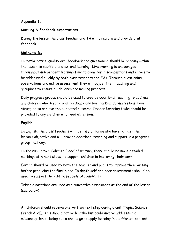#### **Appendix 1:**

#### **Marking & Feedback expectations**

During the lesson the class teacher and TA will circulate and provide oral feedback.

#### **Mathematics**

In mathematics, quality oral feedback and questioning should be ongoing within the lesson to scaffold and extend learning. 'Live' marking is encouraged throughout independent learning time to allow for misconceptions and errors to be addressed quickly by both class teachers and TAs. Through questioning, observations and active assessment they will adjust their teaching and groupings to ensure all children are making progress.

Daily progress groups should be used to provide additional teaching to address any children who despite oral feedback and live marking during lessons, have struggled to achieve the expected outcome. Deeper Learning tasks should be provided to any children who need extension.

#### **English**

In English, the class teachers will identify children who have not met the lesson's objective and will provide additional teaching and support in a progress group that day.

In the run up to a 'Polished Piece' of writing, there should be more detailed marking, with next steps, to support children in improving their work.

Editing should be used by both the teacher and pupils to improve their writing before producing the final piece. In depth self and peer assessments should be used to support the editing process (Appendix 3)

Triangle notations are used as a summative assessment at the end of the lesson (see below)

All children should receive one written next step during a unit (Topic, Science, French & RE). This should not be lengthy but could involve addressing a misconception or being set a challenge to apply learning in a different context.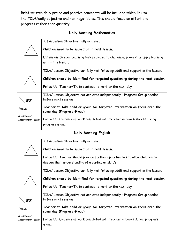Brief written daily praise and positive comments will be included which link to the TILA/daily objective and non-negotiables. This should focus on effort and progress rather than quantity.

| Daily Marking Mathematics                    |                                                                                                                                     |  |  |  |
|----------------------------------------------|-------------------------------------------------------------------------------------------------------------------------------------|--|--|--|
|                                              | TILA/Lesson Objective Fully achieved.                                                                                               |  |  |  |
|                                              | Children need to be moved on in next lesson.                                                                                        |  |  |  |
|                                              | Extension: Deeper Learning task provided to challenge, prove it or apply learning<br>within the lesson.                             |  |  |  |
|                                              | TILA/ Lesson Objective partially met following additional support in the lesson.                                                    |  |  |  |
|                                              | Children should be identified for targeted questioning during the next session                                                      |  |  |  |
|                                              | Follow Up: Teacher/TA to continue to monitor the next day.                                                                          |  |  |  |
| (PG)                                         | TILA/ Lesson Objective not achieved independently - Progress Group needed<br>before next session                                    |  |  |  |
| Focus:                                       | Teacher to take child or group for targeted intervention on focus area the<br>same day (Progress Group)                             |  |  |  |
| (Evidence of<br>Intervention work)           | Follow Up: Evidence of work completed with teacher in books/sheets during                                                           |  |  |  |
|                                              | progress group.                                                                                                                     |  |  |  |
| Daily Marking English                        |                                                                                                                                     |  |  |  |
|                                              | TILA/Lesson Objective Fully achieved.                                                                                               |  |  |  |
|                                              | Children need to be moved on in next lesson.                                                                                        |  |  |  |
|                                              | Follow Up: Teacher should provide further opportunities to allow children to<br>deepen their understanding of a particular skill/s. |  |  |  |
|                                              | TILA/ Lesson Objective partially met following additional support in the lesson.                                                    |  |  |  |
|                                              | Children should be identified for targeted questioning during the next session                                                      |  |  |  |
|                                              | Follow Up: Teacher/TA to continue to monitor the next day.                                                                          |  |  |  |
| (PG)                                         | TILA/ Lesson Objective not achieved independently - Progress Group needed<br>before next session                                    |  |  |  |
| Focus:<br>(Evidence of<br>Intervention work) | Teacher to take child or group for targeted intervention on focus area the<br>same day (Progress Group)                             |  |  |  |
|                                              | Follow Up: Evidence of work completed with teacher in books during progress<br>group.                                               |  |  |  |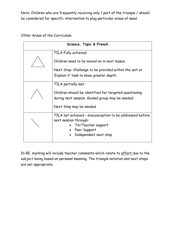Note: Children who are frequently receiving only 1 part of the triangle / should be considered for specific intervention to plug particular areas of need.

#### Other Areas of the Curriculum:

| Science, Topic & French |                                                                                                           |  |  |
|-------------------------|-----------------------------------------------------------------------------------------------------------|--|--|
|                         | TILA Fully achieved.                                                                                      |  |  |
|                         | Children need to be moved on in next lesson.                                                              |  |  |
|                         | Next Step: Challenge to be provided within the unit or                                                    |  |  |
|                         | 'Explain it' task to show greater depth.                                                                  |  |  |
|                         | TILA partially met.                                                                                       |  |  |
|                         | Children should be identified for targeted questioning<br>during next session. Guided group may be needed |  |  |
|                         | Next Step may be needed                                                                                   |  |  |
|                         | TILA not achieved - misconception to be addressed before                                                  |  |  |
|                         | next session through:                                                                                     |  |  |
|                         | TA/Teacher support<br>Peer Support                                                                        |  |  |
|                         | Independent next step                                                                                     |  |  |
|                         |                                                                                                           |  |  |

In RE, marking will include teacher comments which relate to effort due to the subject being based on personal meaning. The triangle notation and next steps are not appropriate.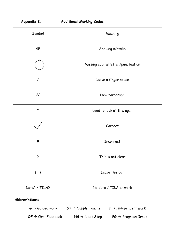# **Appendix 2: Additional Marking Codes**

| Symbol                                                        | Meaning                                                                       |  |  |  |  |
|---------------------------------------------------------------|-------------------------------------------------------------------------------|--|--|--|--|
| <b>SP</b>                                                     | Spelling mistake                                                              |  |  |  |  |
|                                                               | Missing capital letter/punctuation                                            |  |  |  |  |
| $\prime$                                                      | Leave a finger space                                                          |  |  |  |  |
| $\frac{1}{2}$                                                 | New paragraph                                                                 |  |  |  |  |
| $\star$                                                       | Need to look at this again                                                    |  |  |  |  |
|                                                               | Correct                                                                       |  |  |  |  |
|                                                               | <b>Incorrect</b>                                                              |  |  |  |  |
| ?                                                             | This is not clear                                                             |  |  |  |  |
| ( )                                                           | Leave this out                                                                |  |  |  |  |
| Date? / TILA?                                                 | No date / TILA on work                                                        |  |  |  |  |
| Abbreviations:                                                |                                                                               |  |  |  |  |
| $\boldsymbol{\mathsf{G}}\to\boldsymbol{\mathsf{Guided}}$ work | $ST \rightarrow$ Supply Teacher $I \rightarrow$ Independent work              |  |  |  |  |
| $OF \rightarrow$ Oral Feedback                                | $PG \rightarrow Progress Group$<br>$\mathsf{NS}\rightarrow\mathsf{Next}$ Step |  |  |  |  |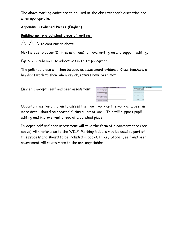The above marking codes are to be used at the class teacher's discretion and when appropriate.

#### **Appendix 3 Polished Pieces (English)**

#### **Building up to a polished piece of writing:**

 $\triangle \land \setminus$  to continue as above.

Next steps to occur (2 times minimum) to move writing on and support editing.

**Eg:** NS – Could you use adjectives in this \* paragraph?

The polished piece will then be used as assessment evidence. Class teachers will highlight work to show when key objectives have been met.

| <b>My Friend's Comment Card</b>               |                            | Self-assessment   |  |
|-----------------------------------------------|----------------------------|-------------------|--|
| Have they included all of<br>the WILF?        | Have I included all of the | success criteria? |  |
| One thing they have done<br>well              | One thing I have done well |                   |  |
| How could they improve<br>this piece of work? | How could I improve this   | plece of work?    |  |
| Presentation out of 10?                       |                            | Effort out of 10? |  |

Opportunities for children to assess their own work or the work of a peer in more detail should be created during a unit of work. This will support pupil editing and improvement ahead of a polished piece.

In-depth self and peer assessment will take the form of a comment card (see above) with reference to the WILF. Marking ladders may be used as part of this process and should to be included in books. In Key Stage 1, self and peer assessment will relate more to the non-negotiables.